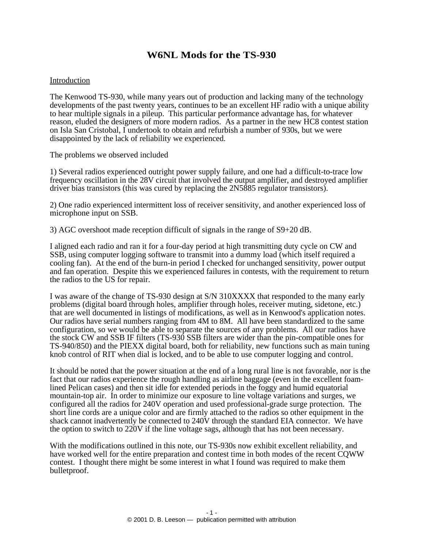# **W6NL Mods for the TS-930**

### Introduction

The Kenwood TS-930, while many years out of production and lacking many of the technology developments of the past twenty years, continues to be an excellent HF radio with a unique ability to hear multiple signals in a pileup. This particular performance advantage has, for whatever reason, eluded the designers of more modern radios. As a partner in the new HC8 contest station on Isla San Cristobal, I undertook to obtain and refurbish a number of 930s, but we were disappointed by the lack of reliability we experienced.

The problems we observed included

1) Several radios experienced outright power supply failure, and one had a difficult-to-trace low frequency oscillation in the 28V circuit that involved the output amplifier, and destroyed amplifier driver bias transistors (this was cured by replacing the 2N5885 regulator transistors).

2) One radio experienced intermittent loss of receiver sensitivity, and another experienced loss of microphone input on SSB.

3) AGC overshoot made reception difficult of signals in the range of S9+20 dB.

I aligned each radio and ran it for a four-day period at high transmitting duty cycle on CW and SSB, using computer logging software to transmit into a dummy load (which itself required a cooling fan). At the end of the burn-in period I checked for unchanged sensitivity, power output and fan operation. Despite this we experienced failures in contests, with the requirement to return the radios to the US for repair.

I was aware of the change of TS-930 design at S/N 310XXXX that responded to the many early problems (digital board through holes, amplifier through holes, receiver muting, sidetone, etc.) that are well documented in listings of modifications, as well as in Kenwood's application notes. Our radios have serial numbers ranging from 4M to 8M. All have been standardized to the same configuration, so we would be able to separate the sources of any problems. All our radios have the stock CW and SSB IF filters (TS-930 SSB filters are wider than the pin-compatible ones for TS-940/850) and the PIEXX digital board, both for reliability, new functions such as main tuning knob control of RIT when dial is locked, and to be able to use computer logging and control.

It should be noted that the power situation at the end of a long rural line is not favorable, nor is the fact that our radios experience the rough handling as airline baggage (even in the excellent foamlined Pelican cases) and then sit idle for extended periods in the foggy and humid equatorial mountain-top air. In order to minimize our exposure to line voltage variations and surges, we configured all the radios for 240V operation and used professional-grade surge protection. The short line cords are a unique color and are firmly attached to the radios so other equipment in the shack cannot inadvertently be connected to 240V through the standard EIA connector. We have the option to switch to 220V if the line voltage sags, although that has not been necessary.

With the modifications outlined in this note, our TS-930s now exhibit excellent reliability, and have worked well for the entire preparation and contest time in both modes of the recent CQWW contest. I thought there might be some interest in what I found was required to make them bulletproof.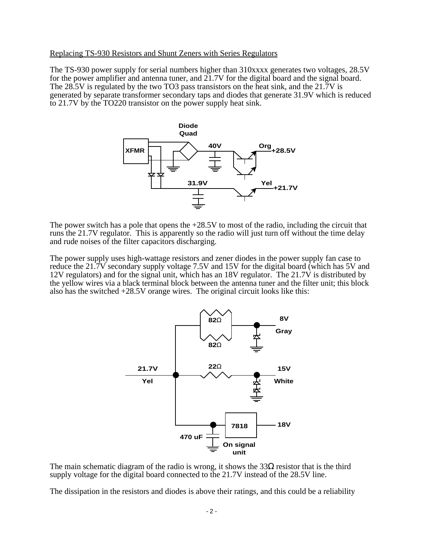### Replacing TS-930 Resistors and Shunt Zeners with Series Regulators

The TS-930 power supply for serial numbers higher than 310xxxx generates two voltages, 28.5V for the power amplifier and antenna tuner, and 21.7V for the digital board and the signal board. The 28.5V is regulated by the two TO3 pass transistors on the heat sink, and the 21.7V is generated by separate transformer secondary taps and diodes that generate 31.9V which is reduced to 21.7V by the TO220 transistor on the power supply heat sink.



The power switch has a pole that opens the  $+28.5V$  to most of the radio, including the circuit that runs the 21.7V regulator. This is apparently so the radio will just turn off without the time delay and rude noises of the filter capacitors discharging.

The power supply uses high-wattage resistors and zener diodes in the power supply fan case to reduce the 21.7V secondary supply voltage 7.5V and 15V for the digital board (which has 5V and 12V regulators) and for the signal unit, which has an 18V regulator. The 21.7V is distributed by the yellow wires via a black terminal block between the antenna tuner and the filter unit; this block also has the switched +28.5V orange wires. The original circuit looks like this:



The main schematic diagram of the radio is wrong, it shows the 33 $\Omega$  resistor that is the third supply voltage for the digital board connected to the 21.7V instead of the 28.5V line.

The dissipation in the resistors and diodes is above their ratings, and this could be a reliability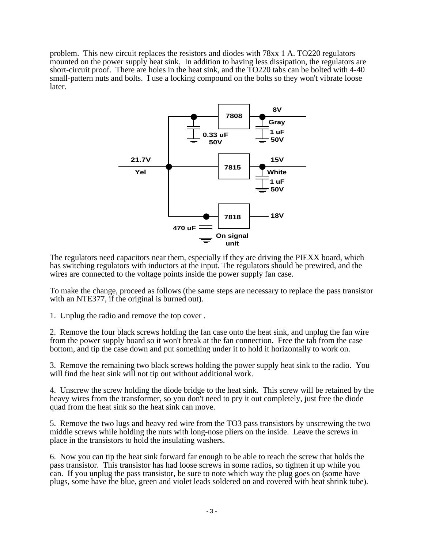problem. This new circuit replaces the resistors and diodes with 78xx 1 A. TO220 regulators mounted on the power supply heat sink. In addition to having less dissipation, the regulators are short-circuit proof. There are holes in the heat sink, and the TO220 tabs can be bolted with 4-40 small-pattern nuts and bolts. I use a locking compound on the bolts so they won't vibrate loose later.



The regulators need capacitors near them, especially if they are driving the PIEXX board, which has switching regulators with inductors at the input. The regulators should be prewired, and the wires are connected to the voltage points inside the power supply fan case.

To make the change, proceed as follows (the same steps are necessary to replace the pass transistor with an NTE377, if the original is burned out).

1. Unplug the radio and remove the top cover .

2. Remove the four black screws holding the fan case onto the heat sink, and unplug the fan wire from the power supply board so it won't break at the fan connection. Free the tab from the case bottom, and tip the case down and put something under it to hold it horizontally to work on.

3. Remove the remaining two black screws holding the power supply heat sink to the radio. You will find the heat sink will not tip out without additional work.

4. Unscrew the screw holding the diode bridge to the heat sink. This screw will be retained by the heavy wires from the transformer, so you don't need to pry it out completely, just free the diode quad from the heat sink so the heat sink can move.

5. Remove the two lugs and heavy red wire from the TO3 pass transistors by unscrewing the two middle screws while holding the nuts with long-nose pliers on the inside. Leave the screws in place in the transistors to hold the insulating washers.

6. Now you can tip the heat sink forward far enough to be able to reach the screw that holds the pass transistor. This transistor has had loose screws in some radios, so tighten it up while you can. If you unplug the pass transistor, be sure to note which way the plug goes on (some have plugs, some have the blue, green and violet leads soldered on and covered with heat shrink tube).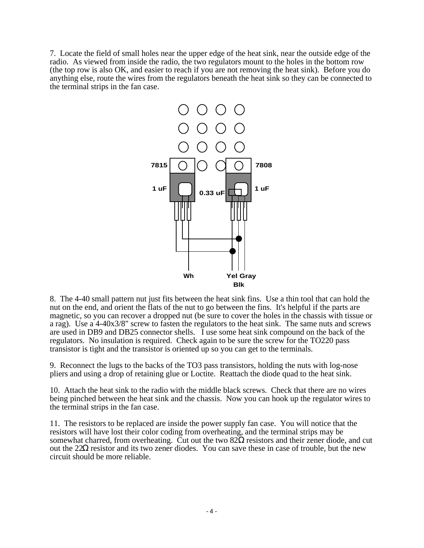7. Locate the field of small holes near the upper edge of the heat sink, near the outside edge of the radio. As viewed from inside the radio, the two regulators mount to the holes in the bottom row (the top row is also OK, and easier to reach if you are not removing the heat sink). Before you do anything else, route the wires from the regulators beneath the heat sink so they can be connected to the terminal strips in the fan case.



8. The 4-40 small pattern nut just fits between the heat sink fins. Use a thin tool that can hold the nut on the end, and orient the flats of the nut to go between the fins. It's helpful if the parts are magnetic, so you can recover a dropped nut (be sure to cover the holes in the chassis with tissue or a rag). Use a 4-40x3/8" screw to fasten the regulators to the heat sink. The same nuts and screws are used in DB9 and DB25 connector shells. I use some heat sink compound on the back of the regulators. No insulation is required. Check again to be sure the screw for the TO220 pass transistor is tight and the transistor is oriented up so you can get to the terminals.

9. Reconnect the lugs to the backs of the TO3 pass transistors, holding the nuts with log-nose pliers and using a drop of retaining glue or Loctite. Reattach the diode quad to the heat sink.

10. Attach the heat sink to the radio with the middle black screws. Check that there are no wires being pinched between the heat sink and the chassis. Now you can hook up the regulator wires to the terminal strips in the fan case.

11. The resistors to be replaced are inside the power supply fan case. You will notice that the resistors will have lost their color coding from overheating, and the terminal strips may be somewhat charred, from overheating. Cut out the two  $82\Omega$  resistors and their zener diode, and cut out the 22Ω resistor and its two zener diodes. You can save these in case of trouble, but the new circuit should be more reliable.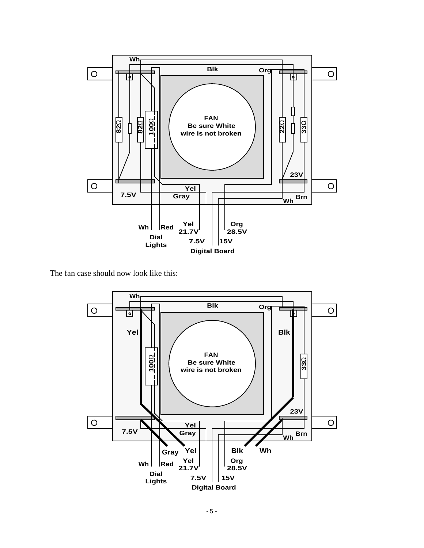

The fan case should now look like this:

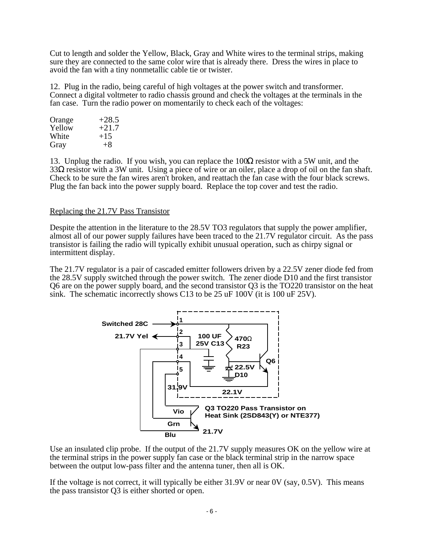Cut to length and solder the Yellow, Black, Gray and White wires to the terminal strips, making sure they are connected to the same color wire that is already there. Dress the wires in place to avoid the fan with a tiny nonmetallic cable tie or twister.

12. Plug in the radio, being careful of high voltages at the power switch and transformer. Connect a digital voltmeter to radio chassis ground and check the voltages at the terminals in the fan case. Turn the radio power on momentarily to check each of the voltages:

| Orange | $+28.5$ |
|--------|---------|
| Yellow | $+21.7$ |
| White  | $+15$   |
| Gray   | $+8$    |

13. Unplug the radio. If you wish, you can replace the 100Ω resistor with a 5W unit, and the 33 $\Omega$  resistor with a 3W unit. Using a piece of wire or an oiler, place a drop of oil on the fan shaft. Check to be sure the fan wires aren't broken, and reattach the fan case with the four black screws. Plug the fan back into the power supply board. Replace the top cover and test the radio.

# Replacing the 21.7V Pass Transistor

Despite the attention in the literature to the 28.5V TO3 regulators that supply the power amplifier, almost all of our power supply failures have been traced to the 21.7V regulator circuit. As the pass transistor is failing the radio will typically exhibit unusual operation, such as chirpy signal or intermittent display.

The 21.7V regulator is a pair of cascaded emitter followers driven by a 22.5V zener diode fed from the 28.5V supply switched through the power switch. The zener diode D10 and the first transistor Q6 are on the power supply board, and the second transistor Q3 is the TO220 transistor on the heat sink. The schematic incorrectly shows C13 to be 25 uF 100V (it is 100 uF 25V).



Use an insulated clip probe. If the output of the 21.7V supply measures OK on the yellow wire at the terminal strips in the power supply fan case or the black terminal strip in the narrow space between the output low-pass filter and the antenna tuner, then all is OK.

If the voltage is not correct, it will typically be either 31.9V or near 0V (say, 0.5V). This means the pass transistor Q3 is either shorted or open.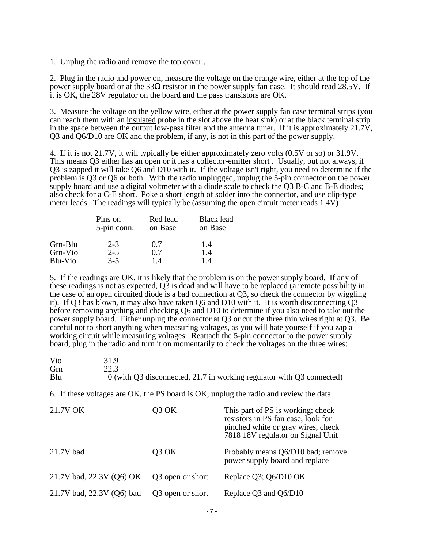1. Unplug the radio and remove the top cover .

2. Plug in the radio and power on, measure the voltage on the orange wire, either at the top of the power supply board or at the 33Ω resistor in the power supply fan case. It should read 28.5V. If it is OK, the 28V regulator on the board and the pass transistors are OK.

3. Measure the voltage on the yellow wire, either at the power supply fan case terminal strips (you can reach them with an insulated probe in the slot above the heat sink) or at the black terminal strip in the space between the output low-pass filter and the antenna tuner. If it is approximately 21.7V, Q3 and Q6/D10 are OK and the problem, if any, is not in this part of the power supply.

4. If it is not 21.7V, it will typically be either approximately zero volts (0.5V or so) or 31.9V. This means Q3 either has an open or it has a collector-emitter short . Usually, but not always, if Q3 is zapped it will take Q6 and D10 with it. If the voltage isn't right, you need to determine if the problem is Q3 or Q6 or both. With the radio unplugged, unplug the 5-pin connector on the power supply board and use a digital voltmeter with a diode scale to check the Q3 B-C and B-E diodes; also check for a C-E short. Poke a short length of solder into the connector, and use clip-type meter leads. The readings will typically be (assuming the open circuit meter reads 1.4V)

|         | Pins on<br>5-pin conn. | <b>Black lead</b><br>Red lead<br>on Base<br>on Base |     |
|---------|------------------------|-----------------------------------------------------|-----|
| Grn-Blu | $2 - 3$                | 0.7                                                 | 1.4 |
| Grn-Vio | $2 - 5$                | 0.7                                                 | 1.4 |
| Blu-Vio | $3-5$                  | 14                                                  | 14  |

5. If the readings are OK, it is likely that the problem is on the power supply board. If any of these readings is not as expected, Q3 is dead and will have to be replaced (a remote possibility in the case of an open circuited diode is a bad connection at Q3, so check the connector by wiggling it). If Q3 has blown, it may also have taken Q6 and D10 with it. It is worth disconnecting Q3 before removing anything and checking Q6 and D10 to determine if you also need to take out the power supply board. Either unplug the connector at Q3 or cut the three thin wires right at Q3. Be careful not to short anything when measuring voltages, as you will hate yourself if you zap a working circuit while measuring voltages. Reattach the 5-pin connector to the power supply board, plug in the radio and turn it on momentarily to check the voltages on the three wires:

| Vio | 31.9                                                                    |
|-----|-------------------------------------------------------------------------|
| Grn |                                                                         |
| Blu | $0$ (with Q3 disconnected, 21.7 in working regulator with Q3 connected) |

6. If these voltages are OK, the PS board is OK; unplug the radio and review the data

| 21.7V OK                  | 03 OK             | This part of PS is working; check<br>resistors in PS fan case, look for<br>pinched white or gray wires, check<br>7818 18V regulator on Signal Unit |
|---------------------------|-------------------|----------------------------------------------------------------------------------------------------------------------------------------------------|
| 21.7V bad                 | Q <sub>3</sub> OK | Probably means Q6/D10 bad; remove<br>power supply board and replace                                                                                |
| 21.7V bad, 22.3V (Q6) OK  | Q3 open or short  | Replace Q3; Q6/D10 OK                                                                                                                              |
| 21.7V bad, 22.3V (Q6) bad | Q3 open or short  | Replace Q3 and Q6/D10                                                                                                                              |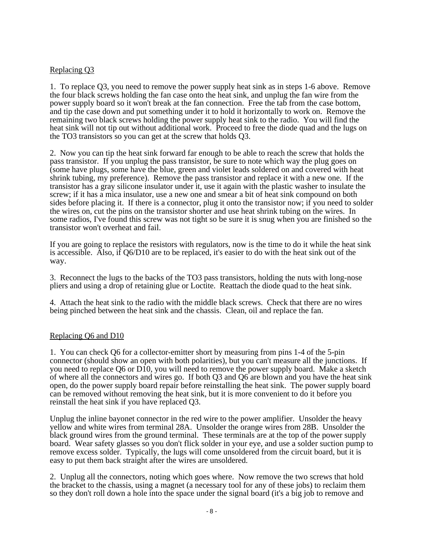# Replacing Q3

1. To replace Q3, you need to remove the power supply heat sink as in steps 1-6 above. Remove the four black screws holding the fan case onto the heat sink, and unplug the fan wire from the power supply board so it won't break at the fan connection. Free the tab from the case bottom, and tip the case down and put something under it to hold it horizontally to work on. Remove the remaining two black screws holding the power supply heat sink to the radio. You will find the heat sink will not tip out without additional work. Proceed to free the diode quad and the lugs on the TO3 transistors so you can get at the screw that holds Q3.

2. Now you can tip the heat sink forward far enough to be able to reach the screw that holds the pass transistor. If you unplug the pass transistor, be sure to note which way the plug goes on (some have plugs, some have the blue, green and violet leads soldered on and covered with heat shrink tubing, my preference). Remove the pass transistor and replace it with a new one. If the transistor has a gray silicone insulator under it, use it again with the plastic washer to insulate the screw; if it has a mica insulator, use a new one and smear a bit of heat sink compound on both sides before placing it. If there is a connector, plug it onto the transistor now; if you need to solder the wires on, cut the pins on the transistor shorter and use heat shrink tubing on the wires. In some radios, I've found this screw was not tight so be sure it is snug when you are finished so the transistor won't overheat and fail.

If you are going to replace the resistors with regulators, now is the time to do it while the heat sink is accessible. Also, if Q6/D10 are to be replaced, it's easier to do with the heat sink out of the way.

3. Reconnect the lugs to the backs of the TO3 pass transistors, holding the nuts with long-nose pliers and using a drop of retaining glue or Loctite. Reattach the diode quad to the heat sink.

4. Attach the heat sink to the radio with the middle black screws. Check that there are no wires being pinched between the heat sink and the chassis. Clean, oil and replace the fan.

# Replacing Q6 and D10

1. You can check Q6 for a collector-emitter short by measuring from pins 1-4 of the 5-pin connector (should show an open with both polarities), but you can't measure all the junctions. If you need to replace Q6 or D10, you will need to remove the power supply board. Make a sketch of where all the connectors and wires go. If both Q3 and Q6 are blown and you have the heat sink open, do the power supply board repair before reinstalling the heat sink. The power supply board can be removed without removing the heat sink, but it is more convenient to do it before you reinstall the heat sink if you have replaced Q3.

Unplug the inline bayonet connector in the red wire to the power amplifier. Unsolder the heavy yellow and white wires from terminal 28A. Unsolder the orange wires from 28B. Unsolder the black ground wires from the ground terminal. These terminals are at the top of the power supply board. Wear safety glasses so you don't flick solder in your eye, and use a solder suction pump to remove excess solder. Typically, the lugs will come unsoldered from the circuit board, but it is easy to put them back straight after the wires are unsoldered.

2. Unplug all the connectors, noting which goes where. Now remove the two screws that hold the bracket to the chassis, using a magnet (a necessary tool for any of these jobs) to reclaim them so they don't roll down a hole into the space under the signal board (it's a big job to remove and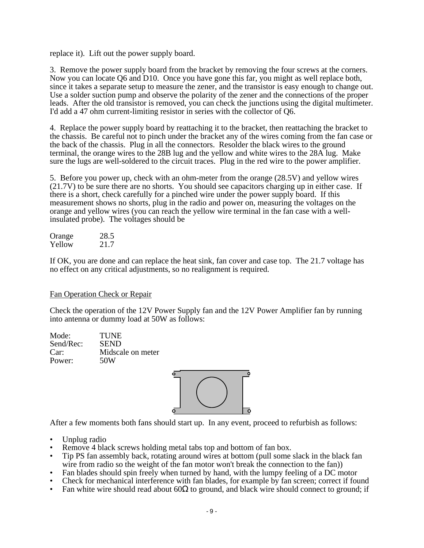replace it). Lift out the power supply board.

3. Remove the power supply board from the bracket by removing the four screws at the corners. Now you can locate Q6 and D10. Once you have gone this far, you might as well replace both, since it takes a separate setup to measure the zener, and the transistor is easy enough to change out. Use a solder suction pump and observe the polarity of the zener and the connections of the proper leads. After the old transistor is removed, you can check the junctions using the digital multimeter. I'd add a 47 ohm current-limiting resistor in series with the collector of Q6.

4. Replace the power supply board by reattaching it to the bracket, then reattaching the bracket to the chassis. Be careful not to pinch under the bracket any of the wires coming from the fan case or the back of the chassis. Plug in all the connectors. Resolder the black wires to the ground terminal, the orange wires to the 28B lug and the yellow and white wires to the 28A lug. Make sure the lugs are well-soldered to the circuit traces. Plug in the red wire to the power amplifier.

5. Before you power up, check with an ohm-meter from the orange (28.5V) and yellow wires (21.7V) to be sure there are no shorts. You should see capacitors charging up in either case. If there is a short, check carefully for a pinched wire under the power supply board. If this measurement shows no shorts, plug in the radio and power on, measuring the voltages on the orange and yellow wires (you can reach the yellow wire terminal in the fan case with a wellinsulated probe). The voltages should be

| Orange | 28.5 |
|--------|------|
| Yellow | 21.7 |

If OK, you are done and can replace the heat sink, fan cover and case top. The 21.7 voltage has no effect on any critical adjustments, so no realignment is required.

### Fan Operation Check or Repair

Check the operation of the 12V Power Supply fan and the 12V Power Amplifier fan by running into antenna or dummy load at 50W as follows:

Mode: TUNE Send/Rec: SEND Car: Midscale on meter Power: 50W



After a few moments both fans should start up. In any event, proceed to refurbish as follows:

- Unplug radio
- Remove 4 black screws holding metal tabs top and bottom of fan box.
- Tip PS fan assembly back, rotating around wires at bottom (pull some slack in the black fan wire from radio so the weight of the fan motor won't break the connection to the fan))
- Fan blades should spin freely when turned by hand, with the lumpy feeling of a DC motor
- Check for mechanical interference with fan blades, for example by fan screen; correct if found
- Fan white wire should read about  $60\Omega$  to ground, and black wire should connect to ground; if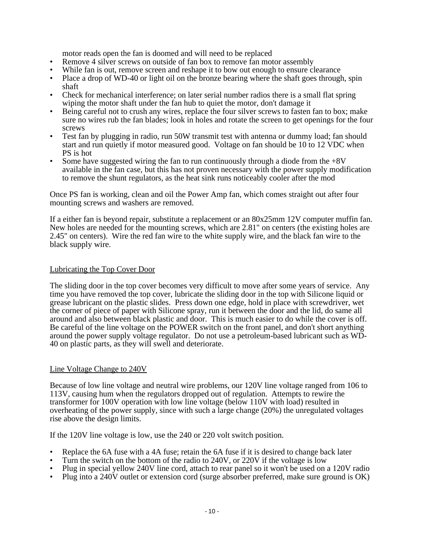motor reads open the fan is doomed and will need to be replaced

- Remove 4 silver screws on outside of fan box to remove fan motor assembly
- While fan is out, remove screen and reshape it to bow out enough to ensure clearance
- Place a drop of WD-40 or light oil on the bronze bearing where the shaft goes through, spin shaft
- Check for mechanical interference; on later serial number radios there is a small flat spring wiping the motor shaft under the fan hub to quiet the motor, don't damage it
- Being careful not to crush any wires, replace the four silver screws to fasten fan to box; make sure no wires rub the fan blades; look in holes and rotate the screen to get openings for the four screws
- Test fan by plugging in radio, run 50W transmit test with antenna or dummy load; fan should start and run quietly if motor measured good. Voltage on fan should be 10 to 12 VDC when PS is hot
- Some have suggested wiring the fan to run continuously through a diode from the  $+8V$ available in the fan case, but this has not proven necessary with the power supply modification to remove the shunt regulators, as the heat sink runs noticeably cooler after the mod

Once PS fan is working, clean and oil the Power Amp fan, which comes straight out after four mounting screws and washers are removed.

If a either fan is beyond repair, substitute a replacement or an 80x25mm 12V computer muffin fan. New holes are needed for the mounting screws, which are 2.81" on centers (the existing holes are 2.45" on centers). Wire the red fan wire to the white supply wire, and the black fan wire to the black supply wire.

# Lubricating the Top Cover Door

The sliding door in the top cover becomes very difficult to move after some years of service. Any time you have removed the top cover, lubricate the sliding door in the top with Silicone liquid or grease lubricant on the plastic slides. Press down one edge, hold in place with screwdriver, wet the corner of piece of paper with Silicone spray, run it between the door and the lid, do same all around and also between black plastic and door. This is much easier to do while the cover is off. Be careful of the line voltage on the POWER switch on the front panel, and don't short anything around the power supply voltage regulator. Do not use a petroleum-based lubricant such as WD-40 on plastic parts, as they will swell and deteriorate.

### Line Voltage Change to 240V

Because of low line voltage and neutral wire problems, our 120V line voltage ranged from 106 to 113V, causing hum when the regulators dropped out of regulation. Attempts to rewire the transformer for 100V operation with low line voltage (below 110V with load) resulted in overheating of the power supply, since with such a large change (20%) the unregulated voltages rise above the design limits.

If the 120V line voltage is low, use the 240 or 220 volt switch position.

- Replace the 6A fuse with a 4A fuse; retain the 6A fuse if it is desired to change back later
- Turn the switch on the bottom of the radio to 240V, or 220V if the voltage is low
- Plug in special yellow 240V line cord, attach to rear panel so it won't be used on a 120V radio
- Plug into a 240V outlet or extension cord (surge absorber preferred, make sure ground is OK)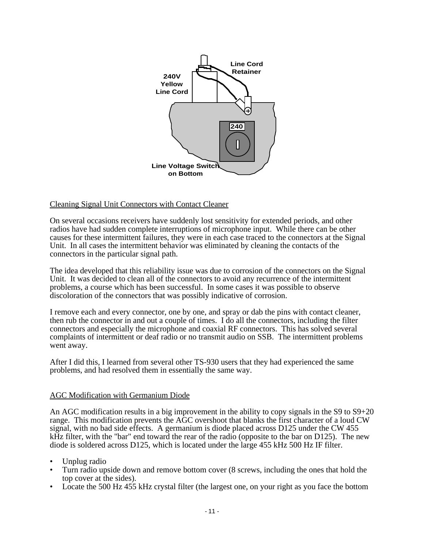

# Cleaning Signal Unit Connectors with Contact Cleaner

On several occasions receivers have suddenly lost sensitivity for extended periods, and other radios have had sudden complete interruptions of microphone input. While there can be other causes for these intermittent failures, they were in each case traced to the connectors at the Signal Unit. In all cases the intermittent behavior was eliminated by cleaning the contacts of the connectors in the particular signal path.

The idea developed that this reliability issue was due to corrosion of the connectors on the Signal Unit. It was decided to clean all of the connectors to avoid any recurrence of the intermittent problems, a course which has been successful. In some cases it was possible to observe discoloration of the connectors that was possibly indicative of corrosion.

I remove each and every connector, one by one, and spray or dab the pins with contact cleaner, then rub the connector in and out a couple of times. I do all the connectors, including the filter connectors and especially the microphone and coaxial RF connectors. This has solved several complaints of intermittent or deaf radio or no transmit audio on SSB. The intermittent problems went away.

After I did this, I learned from several other TS-930 users that they had experienced the same problems, and had resolved them in essentially the same way.

### AGC Modification with Germanium Diode

An AGC modification results in a big improvement in the ability to copy signals in the S9 to S9+20 range. This modification prevents the AGC overshoot that blanks the first character of a loud CW signal, with no bad side effects. A germanium is diode placed across D125 under the CW 455 kHz filter, with the "bar" end toward the rear of the radio (opposite to the bar on D125). The new diode is soldered across D125, which is located under the large 455 kHz 500 Hz IF filter.

- Unplug radio
- Turn radio upside down and remove bottom cover (8 screws, including the ones that hold the top cover at the sides).
- Locate the 500 Hz 455 kHz crystal filter (the largest one, on your right as you face the bottom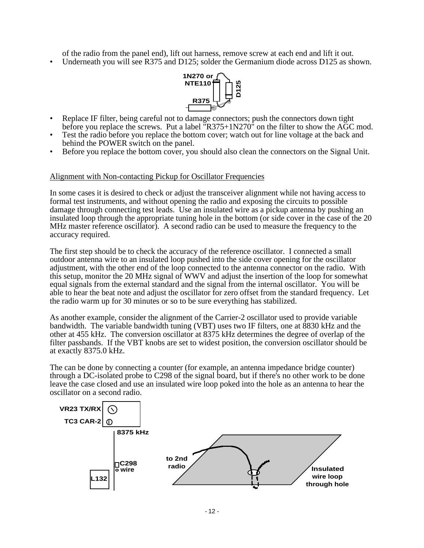of the radio from the panel end), lift out harness, remove screw at each end and lift it out.

• Underneath you will see R375 and D125; solder the Germanium diode across D125 as shown.



- Replace IF filter, being careful not to damage connectors; push the connectors down tight before you replace the screws. Put a label  ${}^{\text{th}}R375+1N270{}^{\text{th}}$  on the filter to show the AGC mod.
- Test the radio before you replace the bottom cover; watch out for line voltage at the back and behind the POWER switch on the panel.
- Before you replace the bottom cover, you should also clean the connectors on the Signal Unit.

# Alignment with Non-contacting Pickup for Oscillator Frequencies

In some cases it is desired to check or adjust the transceiver alignment while not having access to formal test instruments, and without opening the radio and exposing the circuits to possible damage through connecting test leads. Use an insulated wire as a pickup antenna by pushing an insulated loop through the appropriate tuning hole in the bottom (or side cover in the case of the 20 MHz master reference oscillator). A second radio can be used to measure the frequency to the accuracy required.

The first step should be to check the accuracy of the reference oscillator. I connected a small outdoor antenna wire to an insulated loop pushed into the side cover opening for the oscillator adjustment, with the other end of the loop connected to the antenna connector on the radio. With this setup, monitor the 20 MHz signal of WWV and adjust the insertion of the loop for somewhat equal signals from the external standard and the signal from the internal oscillator. You will be able to hear the beat note and adjust the oscillator for zero offset from the standard frequency. Let the radio warm up for 30 minutes or so to be sure everything has stabilized.

As another example, consider the alignment of the Carrier-2 oscillator used to provide variable bandwidth. The variable bandwidth tuning (VBT) uses two IF filters, one at 8830 kHz and the other at 455 kHz. The conversion oscillator at 8375 kHz determines the degree of overlap of the filter passbands. If the VBT knobs are set to widest position, the conversion oscillator should be at exactly 8375.0 kHz.

The can be done by connecting a counter (for example, an antenna impedance bridge counter) through a DC-isolated probe to C298 of the signal board, but if there's no other work to be done leave the case closed and use an insulated wire loop poked into the hole as an antenna to hear the oscillator on a second radio.

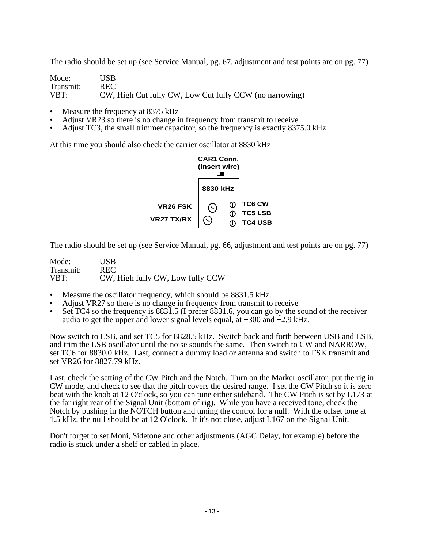The radio should be set up (see Service Manual, pg. 67, adjustment and test points are on pg. 77)

Mode: USB Transmit: REC<br>VBT: CW. CW, High Cut fully CW, Low Cut fully CCW (no narrowing)

- Measure the frequency at 8375 kHz
- Adjust VR23 so there is no change in frequency from transmit to receive
- Adjust TC3, the small trimmer capacitor, so the frequency is exactly 8375.0 kHz

At this time you should also check the carrier oscillator at 8830 kHz

|                               | CAR1 Conn.<br>(insert wire) |        |                                     |
|-------------------------------|-----------------------------|--------|-------------------------------------|
|                               | 8830 kHz                    |        |                                     |
| <b>VR26 FSK</b><br>VR27 TX/RX |                             | ወ<br>⓪ | TC6 CW<br><b>TC5 LSB</b><br>TC4 USB |

The radio should be set up (see Service Manual, pg. 66, adjustment and test points are on pg. 77)

| Mode:     | USB.                             |
|-----------|----------------------------------|
| Transmit: | <b>REC</b>                       |
| VBT:      | CW, High fully CW, Low fully CCW |

- Measure the oscillator frequency, which should be 8831.5 kHz.
- Adjust VR27 so there is no change in frequency from transmit to receive
- Set TC4 so the frequency is 8831.5 (I prefer 8831.6, you can go by the sound of the receiver audio to get the upper and lower signal levels equal, at  $+300$  and  $+2.9$  kHz.

Now switch to LSB, and set TC5 for 8828.5 kHz. Switch back and forth between USB and LSB, and trim the LSB oscillator until the noise sounds the same. Then switch to CW and NARROW, set TC6 for 8830.0 kHz. Last, connect a dummy load or antenna and switch to FSK transmit and set VR26 for 8827.79 kHz.

Last, check the setting of the CW Pitch and the Notch. Turn on the Marker oscillator, put the rig in CW mode, and check to see that the pitch covers the desired range. I set the CW Pitch so it is zero beat with the knob at 12 O'clock, so you can tune either sideband. The CW Pitch is set by L173 at the far right rear of the Signal Unit (bottom of rig). While you have a received tone, check the Notch by pushing in the NOTCH button and tuning the control for a null. With the offset tone at 1.5 kHz, the null should be at 12 O'clock. If it's not close, adjust L167 on the Signal Unit.

Don't forget to set Moni, Sidetone and other adjustments (AGC Delay, for example) before the radio is stuck under a shelf or cabled in place.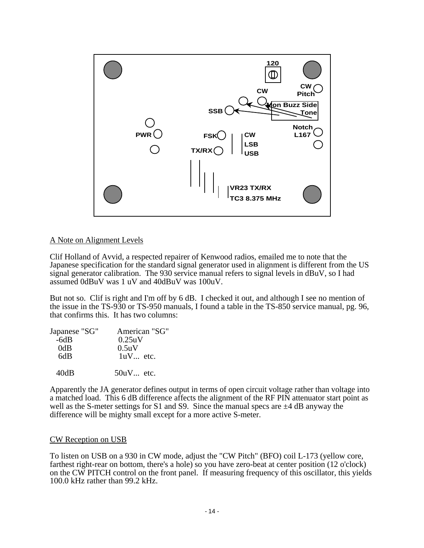

# A Note on Alignment Levels

Clif Holland of Avvid, a respected repairer of Kenwood radios, emailed me to note that the Japanese specification for the standard signal generator used in alignment is different from the US signal generator calibration. The 930 service manual refers to signal levels in dBuV, so I had assumed 0dBuV was 1 uV and 40dBuV was 100uV.

But not so. Clif is right and I'm off by 6 dB. I checked it out, and although I see no mention of the issue in the TS-930 or TS-950 manuals, I found a table in the TS-850 service manual, pg. 96, that confirms this. It has two columns:

| Japanese "SG" | American "SG" |
|---------------|---------------|
| $-6dB$        | 0.25uV        |
| 0dB           | 0.5uV         |
| 6dB           | $1uV$ etc.    |
|               |               |
| 40dB          | $50uV$ etc.   |

Apparently the JA generator defines output in terms of open circuit voltage rather than voltage into a matched load. This 6 dB difference affects the alignment of the RF PIN attenuator start point as well as the S-meter settings for S1 and S9. Since the manual specs are  $\pm$ 4 dB anyway the difference will be mighty small except for a more active S-meter.

### CW Reception on USB

To listen on USB on a 930 in CW mode, adjust the "CW Pitch" (BFO) coil L-173 (yellow core, farthest right-rear on bottom, there's a hole) so you have zero-beat at center position (12 o'clock) on the CW PITCH control on the front panel. If measuring frequency of this oscillator, this yields 100.0 kHz rather than 99.2 kHz.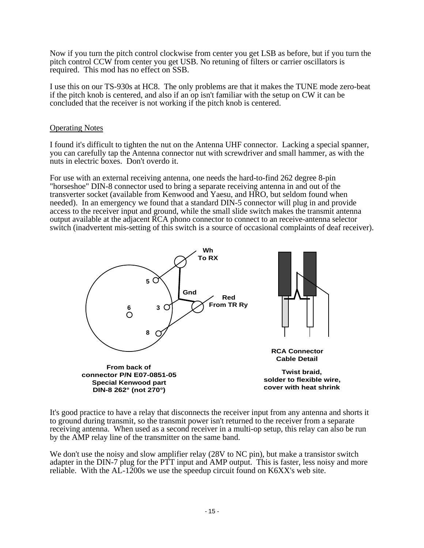Now if you turn the pitch control clockwise from center you get LSB as before, but if you turn the pitch control CCW from center you get USB. No retuning of filters or carrier oscillators is required. This mod has no effect on SSB.

I use this on our TS-930s at HC8. The only problems are that it makes the TUNE mode zero-beat if the pitch knob is centered, and also if an op isn't familiar with the setup on CW it can be concluded that the receiver is not working if the pitch knob is centered.

# Operating Notes

I found it's difficult to tighten the nut on the Antenna UHF connector. Lacking a special spanner, you can carefully tap the Antenna connector nut with screwdriver and small hammer, as with the nuts in electric boxes. Don't overdo it.

For use with an external receiving antenna, one needs the hard-to-find 262 degree 8-pin "horseshoe" DIN-8 connector used to bring a separate receiving antenna in and out of the transverter socket (available from Kenwood and Yaesu, and HRO, but seldom found when needed). In an emergency we found that a standard DIN-5 connector will plug in and provide access to the receiver input and ground, while the small slide switch makes the transmit antenna output available at the adjacent RCA phono connector to connect to an receive-antenna selector switch (inadvertent mis-setting of this switch is a source of occasional complaints of deaf receiver).



It's good practice to have a relay that disconnects the receiver input from any antenna and shorts it to ground during transmit, so the transmit power isn't returned to the receiver from a separate receiving antenna. When used as a second receiver in a multi-op setup, this relay can also be run by the AMP relay line of the transmitter on the same band.

We don't use the noisy and slow amplifier relay (28V to NC pin), but make a transistor switch adapter in the DIN-7 plug for the PTT input and AMP output. This is faster, less noisy and more reliable. With the AL-1200s we use the speedup circuit found on K6XX's web site.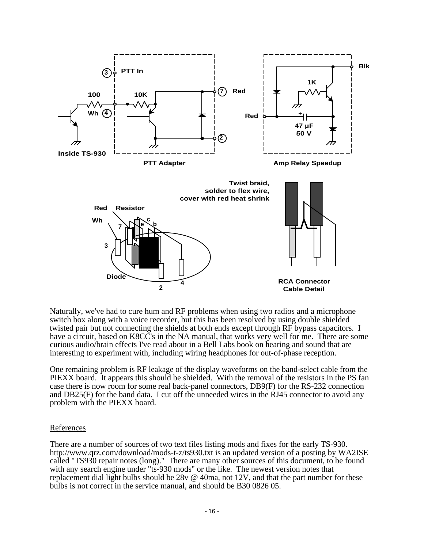

Naturally, we've had to cure hum and RF problems when using two radios and a microphone switch box along with a voice recorder, but this has been resolved by using double shielded twisted pair but not connecting the shields at both ends except through RF bypass capacitors. I have a circuit, based on K8CC's in the NA manual, that works very well for me. There are some curious audio/brain effects I've read about in a Bell Labs book on hearing and sound that are interesting to experiment with, including wiring headphones for out-of-phase reception.

One remaining problem is RF leakage of the display waveforms on the band-select cable from the PIEXX board. It appears this should be shielded. With the removal of the resistors in the PS fan case there is now room for some real back-panel connectors, DB9(F) for the RS-232 connection and DB25(F) for the band data. I cut off the unneeded wires in the RJ45 connector to avoid any problem with the PIEXX board.

### References

There are a number of sources of two text files listing mods and fixes for the early TS-930. <http://www.qrz.com/download/mods-t-z/ts930.txt>is an updated version of a posting by WA2ISE called "TS930 repair notes (long)." There are many other sources of this document, to be found with any search engine under "ts-930 mods" or the like. The newest version notes that replacement dial light bulbs should be 28v [@](mailto:@) 40ma, not 12V, and that the part number for these bulbs is not correct in the service manual, and should be B30 0826 05.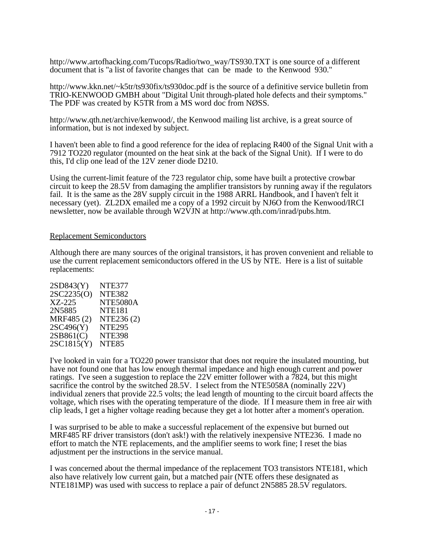[http://www.artofhacking.com/Tucops/Radio/two\\_way/TS930.TXT](http://www.artofhacking.com/Tucops/Radio/two_way/TS930.TXT) is one source of a different document that is "a list of favorite changes that can be made to the Kenwood 930."

<http://www.kkn.net/~k5tr/ts930fix/ts930doc.pdf>is the source of a definitive service bulletin from TRIO-KENWOOD GMBH about "Digital Unit through-plated hole defects and their symptoms." The PDF was created by K5TR from a MS word doc from NØSS.

[http://www.qth.net/archive/kenwood/,](http://www.qth.net/archive/kenwood/) the Kenwood mailing list archive, is a great source of information, but is not indexed by subject.

I haven't been able to find a good reference for the idea of replacing R400 of the Signal Unit with a 7912 TO220 regulator (mounted on the heat sink at the back of the Signal Unit). If I were to do this, I'd clip one lead of the 12V zener diode D210.

Using the current-limit feature of the 723 regulator chip, some have built a protective crowbar circuit to keep the 28.5V from damaging the amplifier transistors by running away if the regulators fail. It is the same as the 28V supply circuit in the 1988 ARRL Handbook, and I haven't felt it necessary (yet). ZL2DX emailed me a copy of a 1992 circuit by NJ6O from the Kenwood/IRCI newsletter, now be available through W2VJN at [http://www.qth.com/inrad/pubs.htm.](http://www.qth.com/inrad/pubs.htm)

### Replacement Semiconductors

Although there are many sources of the original transistors, it has proven convenient and reliable to use the current replacement semiconductors offered in the US by NTE. Here is a list of suitable replacements:

| 2SD843(Y)  | <b>NTE377</b>     |
|------------|-------------------|
| 2SC2235(O) | <b>NTE382</b>     |
| XZ-225     | NTE5080A          |
| 2N5885     | <b>NTE181</b>     |
| MRF485(2)  | NTE236(2)         |
| 2SC496(Y)  | <b>NTE295</b>     |
| 2SB861(C)  | <b>NTE398</b>     |
| 2SC1815(Y) | NTE <sub>85</sub> |
|            |                   |

I've looked in vain for a TO220 power transistor that does not require the insulated mounting, but have not found one that has low enough thermal impedance and high enough current and power ratings. I've seen a suggestion to replace the 22V emitter follower with a 7824, but this might sacrifice the control by the switched 28.5V. I select from the NTE5058A (nominally 22V) individual zeners that provide 22.5 volts; the lead length of mounting to the circuit board affects the voltage, which rises with the operating temperature of the diode. If I measure them in free air with clip leads, I get a higher voltage reading because they get a lot hotter after a moment's operation.

I was surprised to be able to make a successful replacement of the expensive but burned out MRF485 RF driver transistors (don't ask!) with the relatively inexpensive NTE236. I made no effort to match the NTE replacements, and the amplifier seems to work fine; I reset the bias adjustment per the instructions in the service manual.

I was concerned about the thermal impedance of the replacement TO3 transistors NTE181, which also have relatively low current gain, but a matched pair (NTE offers these designated as NTE181MP) was used with success to replace a pair of defunct 2N5885 28.5V regulators.